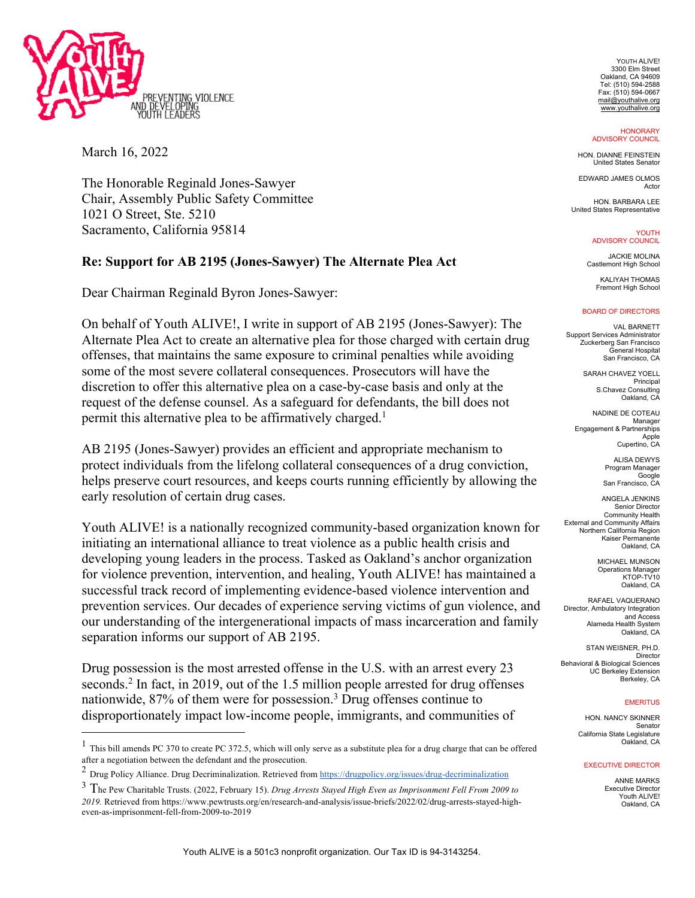

March 16, 2022

The Honorable Reginald Jones-Sawyer Chair, Assembly Public Safety Committee 1021 O Street, Ste. 5210 Sacramento, California 95814

## **Re: Support for AB 2195 (Jones-Sawyer) The Alternate Plea Act**

Dear Chairman Reginald Byron Jones-Sawyer:

On behalf of Youth ALIVE!, I write in support of AB 2195 (Jones-Sawyer): The Alternate Plea Act to create an alternative plea for those charged with certain drug offenses, that maintains the same exposure to criminal penalties while avoiding some of the most severe collateral consequences. Prosecutors will have the discretion to offer this alternative plea on a case-by-case basis and only at the request of the defense counsel. As a safeguard for defendants, the bill does not permit this alternative plea to be affirmatively charged.<sup>1</sup>

AB 2195 (Jones-Sawyer) provides an efficient and appropriate mechanism to protect individuals from the lifelong collateral consequences of a drug conviction, helps preserve court resources, and keeps courts running efficiently by allowing the early resolution of certain drug cases.

Youth ALIVE! is a nationally recognized community-based organization known for initiating an international alliance to treat violence as a public health crisis and developing young leaders in the process. Tasked as Oakland's anchor organization for violence prevention, intervention, and healing, Youth ALIVE! has maintained a successful track record of implementing evidence-based violence intervention and prevention services. Our decades of experience serving victims of gun violence, and our understanding of the intergenerational impacts of mass incarceration and family separation informs our support of AB 2195.

Drug possession is the most arrested offense in the U.S. with an arrest every 23 seconds.2 In fact, in 2019, out of the 1.5 million people arrested for drug offenses nationwide, 87% of them were for possession.3 Drug offenses continue to disproportionately impact low-income people, immigrants, and communities of

YOUTH ALIVE! 3300 Elm Street Oakland, CA 94609 Tel: (510) 594-2588 Fax: (510) 594-0667 mail@youthalive.org www.youthalive.org

**HONORARY** ADVISORY COUNCIL

HON. DIANNE FEINSTEIN United States Senator

EDWARD JAMES OLMOS Actor

HON. BARBARA LEE United States Representative

> YOUTH ADVISORY COUNCIL

JACKIE MOLINA Castlemont High School

KALIYAH THOMAS Fremont High School

## BOARD OF DIRECTORS

VAL BARNETT Support Services Administrator Zuckerberg San Francisco General Hospital San Francisco, CA

> SARAH CHAVEZ YOELL Principal S.Chavez Consulting Oakland, CA

NADINE DE COTEAU Manager Engagement & Partnerships Apple Cupertino, CA

> ALISA DEWYS Program Manager Google San Francisco, CA

ANGELA JENKINS Senior Director Community Health External and Community Affairs Northern California Region Kaiser Permanente Oakland, CA

> MICHAEL MUNSON Operations Manager KTOP-TV10 Oakland, CA

RAFAEL VAQUERANO Director, Ambulatory Integration and Access Alameda Health System Oakland, CA

STAN WEISNER, PH.D. Director Behavioral & Biological Sciences UC Berkeley Extension Berkeley, CA

## **EMERITUS**

HON. NANCY SKINNER Senator California State Legislature Oakland, CA

## EXECUTIVE DIRECTOR

ANNE MARKS Executive Director Youth ALIVE! Oakland, CA

 $<sup>1</sup>$  This bill amends PC 370 to create PC 372.5, which will only serve as a substitute plea for a drug charge that can be offered</sup> after a negotiation between the defendant and the prosecution.

<sup>&</sup>lt;sup>2</sup> Drug Policy Alliance. Drug Decriminalization. Retrieved from https://drugpolicy.org/issues/drug-decriminalization

<sup>3</sup> The Pew Charitable Trusts. (2022, February 15). *Drug Arrests Stayed High Even as Imprisonment Fell From 2009 to 2019.* Retrieved from https://www.pewtrusts.org/en/research-and-analysis/issue-briefs/2022/02/drug-arrests-stayed-higheven-as-imprisonment-fell-from-2009-to-2019